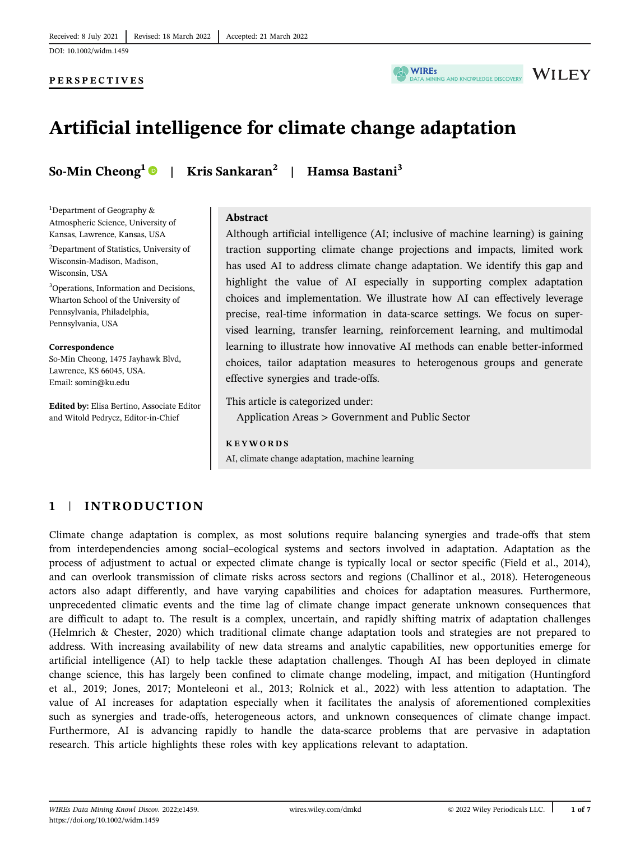### PERSPECTIVES



# **WILEY**

# Artificial intelligence for climate change adaptation

<sup>1</sup>Department of Geography & Atmospheric Science, University of Kansas, Lawrence, Kansas, USA 2 Department of Statistics, University of Wisconsin-Madison, Madison,

3 Operations, Information and Decisions, Wharton School of the University of Pennsylvania, Philadelphia, Pennsylvania, USA

So-Min Cheong, 1475 Jayhawk Blvd,

Edited by: Elisa Bertino, Associate Editor and Witold Pedrycz, Editor-in-Chief

Wisconsin, USA

Correspondence

Lawrence, KS 66045, USA. Email: [somin@ku.edu](mailto:somin@ku.edu)

So-Min Cheong<sup>1</sup> | Kris Sankaran<sup>2</sup> | Hamsa Bastani<sup>3</sup>

# Abstract

Although artificial intelligence (AI; inclusive of machine learning) is gaining traction supporting climate change projections and impacts, limited work has used AI to address climate change adaptation. We identify this gap and highlight the value of AI especially in supporting complex adaptation choices and implementation. We illustrate how AI can effectively leverage precise, real-time information in data-scarce settings. We focus on supervised learning, transfer learning, reinforcement learning, and multimodal learning to illustrate how innovative AI methods can enable better-informed choices, tailor adaptation measures to heterogenous groups and generate effective synergies and trade-offs.

This article is categorized under: Application Areas > Government and Public Sector

#### KEYWORDS

AI, climate change adaptation, machine learning

### 1 | INTRODUCTION

Climate change adaptation is complex, as most solutions require balancing synergies and trade-offs that stem from interdependencies among social–ecological systems and sectors involved in adaptation. Adaptation as the process of adjustment to actual or expected climate change is typically local or sector specific (Field et al., 2014), and can overlook transmission of climate risks across sectors and regions (Challinor et al., 2018). Heterogeneous actors also adapt differently, and have varying capabilities and choices for adaptation measures. Furthermore, unprecedented climatic events and the time lag of climate change impact generate unknown consequences that are difficult to adapt to. The result is a complex, uncertain, and rapidly shifting matrix of adaptation challenges (Helmrich & Chester, 2020) which traditional climate change adaptation tools and strategies are not prepared to address. With increasing availability of new data streams and analytic capabilities, new opportunities emerge for artificial intelligence (AI) to help tackle these adaptation challenges. Though AI has been deployed in climate change science, this has largely been confined to climate change modeling, impact, and mitigation (Huntingford et al., 2019; Jones, 2017; Monteleoni et al., 2013; Rolnick et al., 2022) with less attention to adaptation. The value of AI increases for adaptation especially when it facilitates the analysis of aforementioned complexities such as synergies and trade-offs, heterogeneous actors, and unknown consequences of climate change impact. Furthermore, AI is advancing rapidly to handle the data-scarce problems that are pervasive in adaptation research. This article highlights these roles with key applications relevant to adaptation.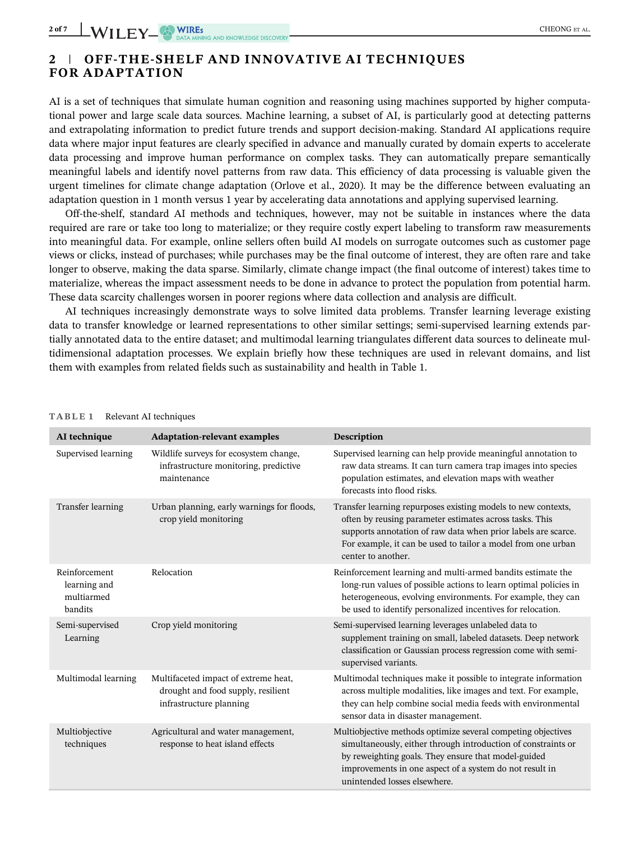## 2 | OFF-THE-SHELF AND INNOVATIVE AI TECHNIQUES FOR ADAPTATION

AI is a set of techniques that simulate human cognition and reasoning using machines supported by higher computational power and large scale data sources. Machine learning, a subset of AI, is particularly good at detecting patterns and extrapolating information to predict future trends and support decision-making. Standard AI applications require data where major input features are clearly specified in advance and manually curated by domain experts to accelerate data processing and improve human performance on complex tasks. They can automatically prepare semantically meaningful labels and identify novel patterns from raw data. This efficiency of data processing is valuable given the urgent timelines for climate change adaptation (Orlove et al., 2020). It may be the difference between evaluating an adaptation question in 1 month versus 1 year by accelerating data annotations and applying supervised learning.

Off-the-shelf, standard AI methods and techniques, however, may not be suitable in instances where the data required are rare or take too long to materialize; or they require costly expert labeling to transform raw measurements into meaningful data. For example, online sellers often build AI models on surrogate outcomes such as customer page views or clicks, instead of purchases; while purchases may be the final outcome of interest, they are often rare and take longer to observe, making the data sparse. Similarly, climate change impact (the final outcome of interest) takes time to materialize, whereas the impact assessment needs to be done in advance to protect the population from potential harm. These data scarcity challenges worsen in poorer regions where data collection and analysis are difficult.

AI techniques increasingly demonstrate ways to solve limited data problems. Transfer learning leverage existing data to transfer knowledge or learned representations to other similar settings; semi-supervised learning extends partially annotated data to the entire dataset; and multimodal learning triangulates different data sources to delineate multidimensional adaptation processes. We explain briefly how these techniques are used in relevant domains, and list them with examples from related fields such as sustainability and health in Table 1.

| AI technique                                           | <b>Adaptation-relevant examples</b>                                                                   | Description                                                                                                                                                                                                                                                                     |
|--------------------------------------------------------|-------------------------------------------------------------------------------------------------------|---------------------------------------------------------------------------------------------------------------------------------------------------------------------------------------------------------------------------------------------------------------------------------|
| Supervised learning                                    | Wildlife surveys for ecosystem change,<br>infrastructure monitoring, predictive<br>maintenance        | Supervised learning can help provide meaningful annotation to<br>raw data streams. It can turn camera trap images into species<br>population estimates, and elevation maps with weather<br>forecasts into flood risks.                                                          |
| Transfer learning                                      | Urban planning, early warnings for floods,<br>crop yield monitoring                                   | Transfer learning repurposes existing models to new contexts,<br>often by reusing parameter estimates across tasks. This<br>supports annotation of raw data when prior labels are scarce.<br>For example, it can be used to tailor a model from one urban<br>center to another. |
| Reinforcement<br>learning and<br>multiarmed<br>bandits | Relocation                                                                                            | Reinforcement learning and multi-armed bandits estimate the<br>long-run values of possible actions to learn optimal policies in<br>heterogeneous, evolving environments. For example, they can<br>be used to identify personalized incentives for relocation.                   |
| Semi-supervised<br>Learning                            | Crop yield monitoring                                                                                 | Semi-supervised learning leverages unlabeled data to<br>supplement training on small, labeled datasets. Deep network<br>classification or Gaussian process regression come with semi-<br>supervised variants.                                                                   |
| Multimodal learning                                    | Multifaceted impact of extreme heat,<br>drought and food supply, resilient<br>infrastructure planning | Multimodal techniques make it possible to integrate information<br>across multiple modalities, like images and text. For example,<br>they can help combine social media feeds with environmental<br>sensor data in disaster management.                                         |
| Multiobjective<br>techniques                           | Agricultural and water management,<br>response to heat island effects                                 | Multiobjective methods optimize several competing objectives<br>simultaneously, either through introduction of constraints or<br>by reweighting goals. They ensure that model-guided<br>improvements in one aspect of a system do not result in<br>unintended losses elsewhere. |

#### TABLE 1 Relevant AI techniques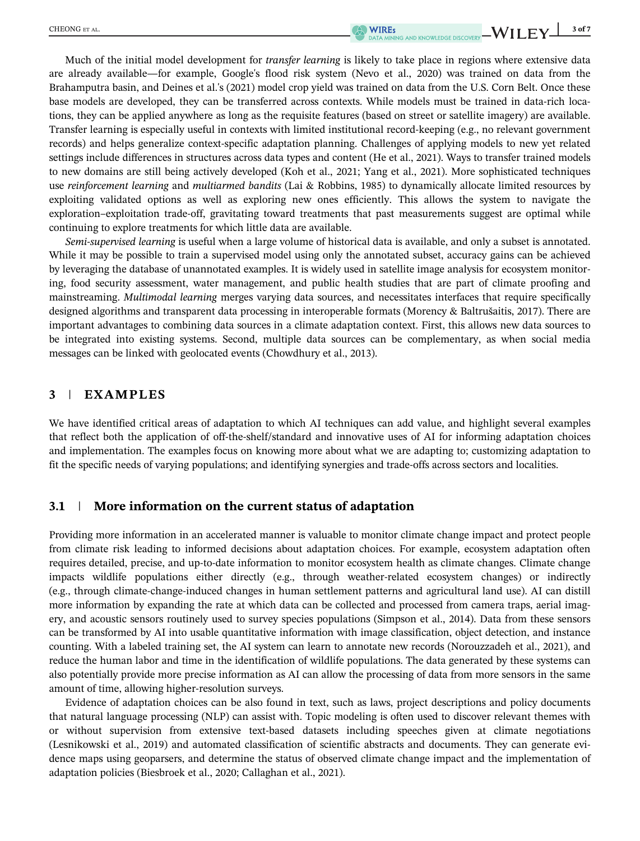Much of the initial model development for *transfer learning* is likely to take place in regions where extensive data are already available—for example, Google's flood risk system (Nevo et al., 2020) was trained on data from the Brahamputra basin, and Deines et al.'s (2021) model crop yield was trained on data from the U.S. Corn Belt. Once these base models are developed, they can be transferred across contexts. While models must be trained in data-rich locations, they can be applied anywhere as long as the requisite features (based on street or satellite imagery) are available. Transfer learning is especially useful in contexts with limited institutional record-keeping (e.g., no relevant government records) and helps generalize context-specific adaptation planning. Challenges of applying models to new yet related settings include differences in structures across data types and content (He et al., 2021). Ways to transfer trained models to new domains are still being actively developed (Koh et al., 2021; Yang et al., 2021). More sophisticated techniques use reinforcement learning and multiarmed bandits (Lai & Robbins, 1985) to dynamically allocate limited resources by exploiting validated options as well as exploring new ones efficiently. This allows the system to navigate the exploration–exploitation trade-off, gravitating toward treatments that past measurements suggest are optimal while continuing to explore treatments for which little data are available.

Semi-supervised learning is useful when a large volume of historical data is available, and only a subset is annotated. While it may be possible to train a supervised model using only the annotated subset, accuracy gains can be achieved by leveraging the database of unannotated examples. It is widely used in satellite image analysis for ecosystem monitoring, food security assessment, water management, and public health studies that are part of climate proofing and mainstreaming. Multimodal learning merges varying data sources, and necessitates interfaces that require specifically designed algorithms and transparent data processing in interoperable formats (Morency & Baltrušaitis, 2017). There are important advantages to combining data sources in a climate adaptation context. First, this allows new data sources to be integrated into existing systems. Second, multiple data sources can be complementary, as when social media messages can be linked with geolocated events (Chowdhury et al., 2013).

### 3 | EXAMPLES

We have identified critical areas of adaptation to which AI techniques can add value, and highlight several examples that reflect both the application of off-the-shelf/standard and innovative uses of AI for informing adaptation choices and implementation. The examples focus on knowing more about what we are adapting to; customizing adaptation to fit the specific needs of varying populations; and identifying synergies and trade-offs across sectors and localities.

### 3.1 | More information on the current status of adaptation

Providing more information in an accelerated manner is valuable to monitor climate change impact and protect people from climate risk leading to informed decisions about adaptation choices. For example, ecosystem adaptation often requires detailed, precise, and up-to-date information to monitor ecosystem health as climate changes. Climate change impacts wildlife populations either directly (e.g., through weather-related ecosystem changes) or indirectly (e.g., through climate-change-induced changes in human settlement patterns and agricultural land use). AI can distill more information by expanding the rate at which data can be collected and processed from camera traps, aerial imagery, and acoustic sensors routinely used to survey species populations (Simpson et al., 2014). Data from these sensors can be transformed by AI into usable quantitative information with image classification, object detection, and instance counting. With a labeled training set, the AI system can learn to annotate new records (Norouzzadeh et al., 2021), and reduce the human labor and time in the identification of wildlife populations. The data generated by these systems can also potentially provide more precise information as AI can allow the processing of data from more sensors in the same amount of time, allowing higher-resolution surveys.

Evidence of adaptation choices can be also found in text, such as laws, project descriptions and policy documents that natural language processing (NLP) can assist with. Topic modeling is often used to discover relevant themes with or without supervision from extensive text-based datasets including speeches given at climate negotiations (Lesnikowski et al., 2019) and automated classification of scientific abstracts and documents. They can generate evidence maps using geoparsers, and determine the status of observed climate change impact and the implementation of adaptation policies (Biesbroek et al., 2020; Callaghan et al., 2021).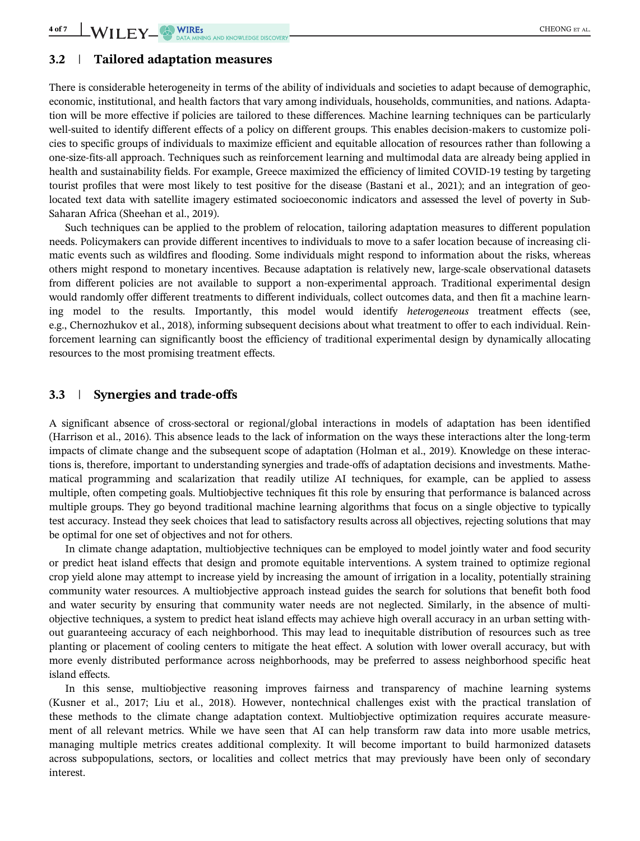### 3.2 | Tailored adaptation measures

There is considerable heterogeneity in terms of the ability of individuals and societies to adapt because of demographic, economic, institutional, and health factors that vary among individuals, households, communities, and nations. Adaptation will be more effective if policies are tailored to these differences. Machine learning techniques can be particularly well-suited to identify different effects of a policy on different groups. This enables decision-makers to customize policies to specific groups of individuals to maximize efficient and equitable allocation of resources rather than following a one-size-fits-all approach. Techniques such as reinforcement learning and multimodal data are already being applied in health and sustainability fields. For example, Greece maximized the efficiency of limited COVID-19 testing by targeting tourist profiles that were most likely to test positive for the disease (Bastani et al., 2021); and an integration of geolocated text data with satellite imagery estimated socioeconomic indicators and assessed the level of poverty in Sub-Saharan Africa (Sheehan et al., 2019).

Such techniques can be applied to the problem of relocation, tailoring adaptation measures to different population needs. Policymakers can provide different incentives to individuals to move to a safer location because of increasing climatic events such as wildfires and flooding. Some individuals might respond to information about the risks, whereas others might respond to monetary incentives. Because adaptation is relatively new, large-scale observational datasets from different policies are not available to support a non-experimental approach. Traditional experimental design would randomly offer different treatments to different individuals, collect outcomes data, and then fit a machine learning model to the results. Importantly, this model would identify heterogeneous treatment effects (see, e.g., Chernozhukov et al., 2018), informing subsequent decisions about what treatment to offer to each individual. Reinforcement learning can significantly boost the efficiency of traditional experimental design by dynamically allocating resources to the most promising treatment effects.

### 3.3 | Synergies and trade-offs

A significant absence of cross-sectoral or regional/global interactions in models of adaptation has been identified (Harrison et al., 2016). This absence leads to the lack of information on the ways these interactions alter the long-term impacts of climate change and the subsequent scope of adaptation (Holman et al., 2019). Knowledge on these interactions is, therefore, important to understanding synergies and trade-offs of adaptation decisions and investments. Mathematical programming and scalarization that readily utilize AI techniques, for example, can be applied to assess multiple, often competing goals. Multiobjective techniques fit this role by ensuring that performance is balanced across multiple groups. They go beyond traditional machine learning algorithms that focus on a single objective to typically test accuracy. Instead they seek choices that lead to satisfactory results across all objectives, rejecting solutions that may be optimal for one set of objectives and not for others.

In climate change adaptation, multiobjective techniques can be employed to model jointly water and food security or predict heat island effects that design and promote equitable interventions. A system trained to optimize regional crop yield alone may attempt to increase yield by increasing the amount of irrigation in a locality, potentially straining community water resources. A multiobjective approach instead guides the search for solutions that benefit both food and water security by ensuring that community water needs are not neglected. Similarly, in the absence of multiobjective techniques, a system to predict heat island effects may achieve high overall accuracy in an urban setting without guaranteeing accuracy of each neighborhood. This may lead to inequitable distribution of resources such as tree planting or placement of cooling centers to mitigate the heat effect. A solution with lower overall accuracy, but with more evenly distributed performance across neighborhoods, may be preferred to assess neighborhood specific heat island effects.

In this sense, multiobjective reasoning improves fairness and transparency of machine learning systems (Kusner et al., 2017; Liu et al., 2018). However, nontechnical challenges exist with the practical translation of these methods to the climate change adaptation context. Multiobjective optimization requires accurate measurement of all relevant metrics. While we have seen that AI can help transform raw data into more usable metrics, managing multiple metrics creates additional complexity. It will become important to build harmonized datasets across subpopulations, sectors, or localities and collect metrics that may previously have been only of secondary interest.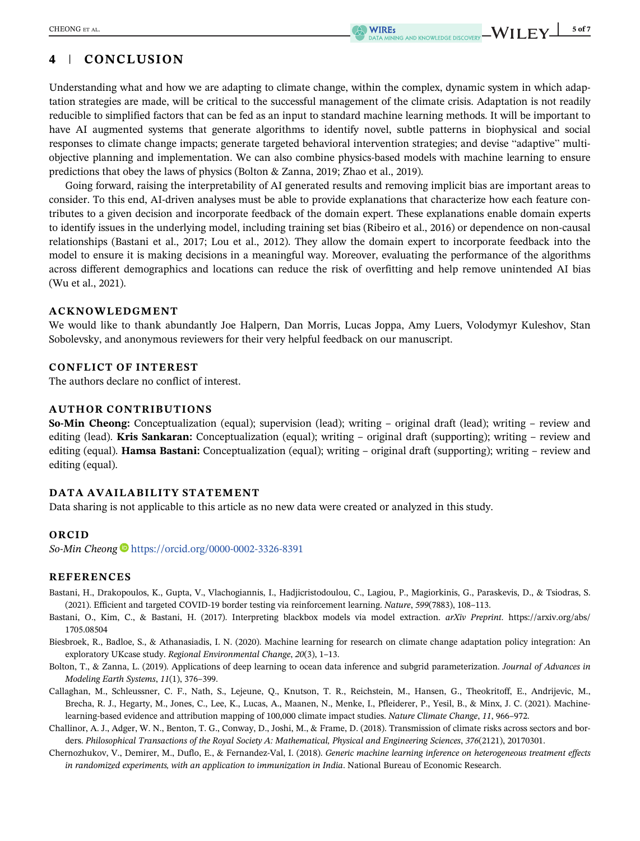# 4 | CONCLUSION

Understanding what and how we are adapting to climate change, within the complex, dynamic system in which adaptation strategies are made, will be critical to the successful management of the climate crisis. Adaptation is not readily reducible to simplified factors that can be fed as an input to standard machine learning methods. It will be important to have AI augmented systems that generate algorithms to identify novel, subtle patterns in biophysical and social responses to climate change impacts; generate targeted behavioral intervention strategies; and devise "adaptive" multiobjective planning and implementation. We can also combine physics-based models with machine learning to ensure predictions that obey the laws of physics (Bolton & Zanna, 2019; Zhao et al., 2019).

Going forward, raising the interpretability of AI generated results and removing implicit bias are important areas to consider. To this end, AI-driven analyses must be able to provide explanations that characterize how each feature contributes to a given decision and incorporate feedback of the domain expert. These explanations enable domain experts to identify issues in the underlying model, including training set bias (Ribeiro et al., 2016) or dependence on non-causal relationships (Bastani et al., 2017; Lou et al., 2012). They allow the domain expert to incorporate feedback into the model to ensure it is making decisions in a meaningful way. Moreover, evaluating the performance of the algorithms across different demographics and locations can reduce the risk of overfitting and help remove unintended AI bias (Wu et al., 2021).

#### ACKNOWLEDGMENT

We would like to thank abundantly Joe Halpern, Dan Morris, Lucas Joppa, Amy Luers, Volodymyr Kuleshov, Stan Sobolevsky, and anonymous reviewers for their very helpful feedback on our manuscript.

#### CONFLICT OF INTEREST

The authors declare no conflict of interest.

### AUTHOR CONTRIBUTIONS

So-Min Cheong: Conceptualization (equal); supervision (lead); writing – original draft (lead); writing – review and editing (lead). **Kris Sankaran:** Conceptualization (equal); writing – original draft (supporting); writing – review and editing (equal). **Hamsa Bastani:** Conceptualization (equal); writing – original draft (supporting); writing – review and editing (equal).

### DATA AVAILABILITY STATEMENT

Data sharing is not applicable to this article as no new data were created or analyzed in this study.

#### ORCID

So-Min Cheong <https://orcid.org/0000-0002-3326-8391>

### REFERENCES

- Bastani, H., Drakopoulos, K., Gupta, V., Vlachogiannis, I., Hadjicristodoulou, C., Lagiou, P., Magiorkinis, G., Paraskevis, D., & Tsiodras, S. (2021). Efficient and targeted COVID-19 border testing via reinforcement learning. Nature, 599(7883), 108–113.
- Bastani, O., Kim, C., & Bastani, H. (2017). Interpreting blackbox models via model extraction. arXiv Preprint. [https://arxiv.org/abs/](https://arxiv.org/abs/1705.08504) [1705.08504](https://arxiv.org/abs/1705.08504)
- Biesbroek, R., Badloe, S., & Athanasiadis, I. N. (2020). Machine learning for research on climate change adaptation policy integration: An exploratory UKcase study. Regional Environmental Change, 20(3), 1–13.
- Bolton, T., & Zanna, L. (2019). Applications of deep learning to ocean data inference and subgrid parameterization. Journal of Advances in Modeling Earth Systems, 11(1), 376–399.
- Callaghan, M., Schleussner, C. F., Nath, S., Lejeune, Q., Knutson, T. R., Reichstein, M., Hansen, G., Theokritoff, E., Andrijevic, M., Brecha, R. J., Hegarty, M., Jones, C., Lee, K., Lucas, A., Maanen, N., Menke, I., Pfleiderer, P., Yesil, B., & Minx, J. C. (2021). Machinelearning-based evidence and attribution mapping of 100,000 climate impact studies. Nature Climate Change, 11, 966–972.
- Challinor, A. J., Adger, W. N., Benton, T. G., Conway, D., Joshi, M., & Frame, D. (2018). Transmission of climate risks across sectors and borders. Philosophical Transactions of the Royal Society A: Mathematical, Physical and Engineering Sciences, 376(2121), 20170301.
- Chernozhukov, V., Demirer, M., Duflo, E., & Fernandez-Val, I. (2018). Generic machine learning inference on heterogeneous treatment effects in randomized experiments, with an application to immunization in India. National Bureau of Economic Research.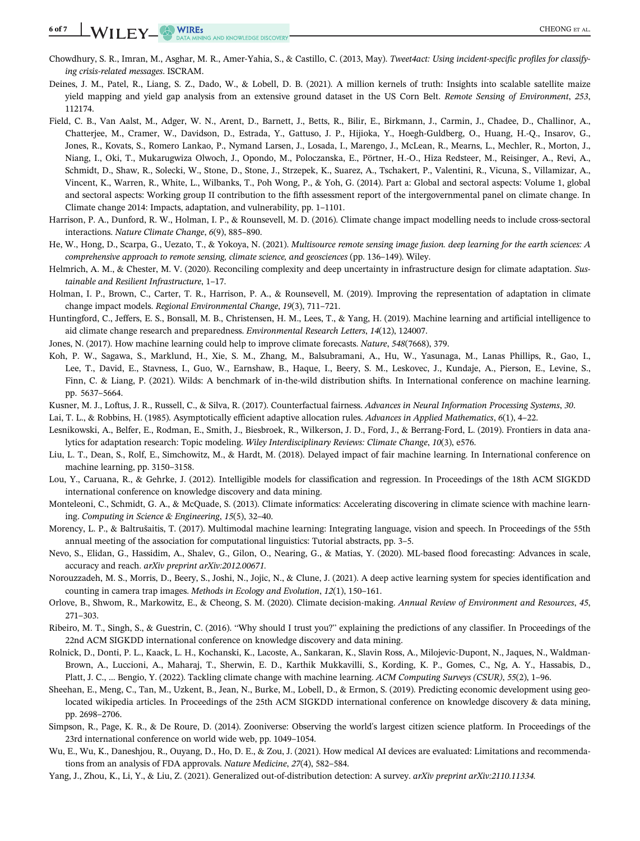6 of 7 WILEY WIRES CHEONG ET AL.

- Chowdhury, S. R., Imran, M., Asghar, M. R., Amer-Yahia, S., & Castillo, C. (2013, May). Tweet4act: Using incident-specific profiles for classifying crisis-related messages. ISCRAM.
- Deines, J. M., Patel, R., Liang, S. Z., Dado, W., & Lobell, D. B. (2021). A million kernels of truth: Insights into scalable satellite maize yield mapping and yield gap analysis from an extensive ground dataset in the US Corn Belt. Remote Sensing of Environment, 253, 112174.
- Field, C. B., Van Aalst, M., Adger, W. N., Arent, D., Barnett, J., Betts, R., Bilir, E., Birkmann, J., Carmin, J., Chadee, D., Challinor, A., Chatterjee, M., Cramer, W., Davidson, D., Estrada, Y., Gattuso, J. P., Hijioka, Y., Hoegh-Guldberg, O., Huang, H.-Q., Insarov, G., Jones, R., Kovats, S., Romero Lankao, P., Nymand Larsen, J., Losada, I., Marengo, J., McLean, R., Mearns, L., Mechler, R., Morton, J., Niang, I., Oki, T., Mukarugwiza Olwoch, J., Opondo, M., Poloczanska, E., Pörtner, H.-O., Hiza Redsteer, M., Reisinger, A., Revi, A., Schmidt, D., Shaw, R., Solecki, W., Stone, D., Stone, J., Strzepek, K., Suarez, A., Tschakert, P., Valentini, R., Vicuna, S., Villamizar, A., Vincent, K., Warren, R., White, L., Wilbanks, T., Poh Wong, P., & Yoh, G. (2014). Part a: Global and sectoral aspects: Volume 1, global and sectoral aspects: Working group II contribution to the fifth assessment report of the intergovernmental panel on climate change. In Climate change 2014: Impacts, adaptation, and vulnerability, pp. 1–1101.
- Harrison, P. A., Dunford, R. W., Holman, I. P., & Rounsevell, M. D. (2016). Climate change impact modelling needs to include cross-sectoral interactions. Nature Climate Change, 6(9), 885–890.
- He, W., Hong, D., Scarpa, G., Uezato, T., & Yokoya, N. (2021). Multisource remote sensing image fusion. deep learning for the earth sciences: A comprehensive approach to remote sensing, climate science, and geosciences (pp. 136–149). Wiley.
- Helmrich, A. M., & Chester, M. V. (2020). Reconciling complexity and deep uncertainty in infrastructure design for climate adaptation. Sustainable and Resilient Infrastructure, 1–17.
- Holman, I. P., Brown, C., Carter, T. R., Harrison, P. A., & Rounsevell, M. (2019). Improving the representation of adaptation in climate change impact models. Regional Environmental Change, 19(3), 711–721.
- Huntingford, C., Jeffers, E. S., Bonsall, M. B., Christensen, H. M., Lees, T., & Yang, H. (2019). Machine learning and artificial intelligence to aid climate change research and preparedness. Environmental Research Letters, 14(12), 124007.
- Jones, N. (2017). How machine learning could help to improve climate forecasts. Nature, 548(7668), 379.
- Koh, P. W., Sagawa, S., Marklund, H., Xie, S. M., Zhang, M., Balsubramani, A., Hu, W., Yasunaga, M., Lanas Phillips, R., Gao, I., Lee, T., David, E., Stavness, I., Guo, W., Earnshaw, B., Haque, I., Beery, S. M., Leskovec, J., Kundaje, A., Pierson, E., Levine, S., Finn, C. & Liang, P. (2021). Wilds: A benchmark of in-the-wild distribution shifts. In International conference on machine learning. pp. 5637–5664.
- Kusner, M. J., Loftus, J. R., Russell, C., & Silva, R. (2017). Counterfactual fairness. Advances in Neural Information Processing Systems, 30.
- Lai, T. L., & Robbins, H. (1985). Asymptotically efficient adaptive allocation rules. Advances in Applied Mathematics, 6(1), 4-22.
- Lesnikowski, A., Belfer, E., Rodman, E., Smith, J., Biesbroek, R., Wilkerson, J. D., Ford, J., & Berrang-Ford, L. (2019). Frontiers in data analytics for adaptation research: Topic modeling. Wiley Interdisciplinary Reviews: Climate Change, 10(3), e576.
- Liu, L. T., Dean, S., Rolf, E., Simchowitz, M., & Hardt, M. (2018). Delayed impact of fair machine learning. In International conference on machine learning, pp. 3150–3158.
- Lou, Y., Caruana, R., & Gehrke, J. (2012). Intelligible models for classification and regression. In Proceedings of the 18th ACM SIGKDD international conference on knowledge discovery and data mining.
- Monteleoni, C., Schmidt, G. A., & McQuade, S. (2013). Climate informatics: Accelerating discovering in climate science with machine learning. Computing in Science & Engineering, 15(5), 32–40.
- Morency, L. P., & Baltrušaitis, T. (2017). Multimodal machine learning: Integrating language, vision and speech. In Proceedings of the 55th annual meeting of the association for computational linguistics: Tutorial abstracts, pp. 3–5.
- Nevo, S., Elidan, G., Hassidim, A., Shalev, G., Gilon, O., Nearing, G., & Matias, Y. (2020). ML-based flood forecasting: Advances in scale, accuracy and reach. arXiv preprint arXiv:2012.00671.
- Norouzzadeh, M. S., Morris, D., Beery, S., Joshi, N., Jojic, N., & Clune, J. (2021). A deep active learning system for species identification and counting in camera trap images. Methods in Ecology and Evolution, 12(1), 150–161.
- Orlove, B., Shwom, R., Markowitz, E., & Cheong, S. M. (2020). Climate decision-making. Annual Review of Environment and Resources, 45, 271–303.
- Ribeiro, M. T., Singh, S., & Guestrin, C. (2016). "Why should I trust you?" explaining the predictions of any classifier. In Proceedings of the 22nd ACM SIGKDD international conference on knowledge discovery and data mining.
- Rolnick, D., Donti, P. L., Kaack, L. H., Kochanski, K., Lacoste, A., Sankaran, K., Slavin Ross, A., Milojevic-Dupont, N., Jaques, N., Waldman-Brown, A., Luccioni, A., Maharaj, T., Sherwin, E. D., Karthik Mukkavilli, S., Kording, K. P., Gomes, C., Ng, A. Y., Hassabis, D., Platt, J. C., … Bengio, Y. (2022). Tackling climate change with machine learning. ACM Computing Surveys (CSUR), 55(2), 1–96.
- Sheehan, E., Meng, C., Tan, M., Uzkent, B., Jean, N., Burke, M., Lobell, D., & Ermon, S. (2019). Predicting economic development using geolocated wikipedia articles. In Proceedings of the 25th ACM SIGKDD international conference on knowledge discovery & data mining, pp. 2698–2706.
- Simpson, R., Page, K. R., & De Roure, D. (2014). Zooniverse: Observing the world's largest citizen science platform. In Proceedings of the 23rd international conference on world wide web, pp. 1049–1054.
- Wu, E., Wu, K., Daneshjou, R., Ouyang, D., Ho, D. E., & Zou, J. (2021). How medical AI devices are evaluated: Limitations and recommendations from an analysis of FDA approvals. Nature Medicine, 27(4), 582–584.
- Yang, J., Zhou, K., Li, Y., & Liu, Z. (2021). Generalized out-of-distribution detection: A survey. arXiv preprint arXiv:2110.11334.